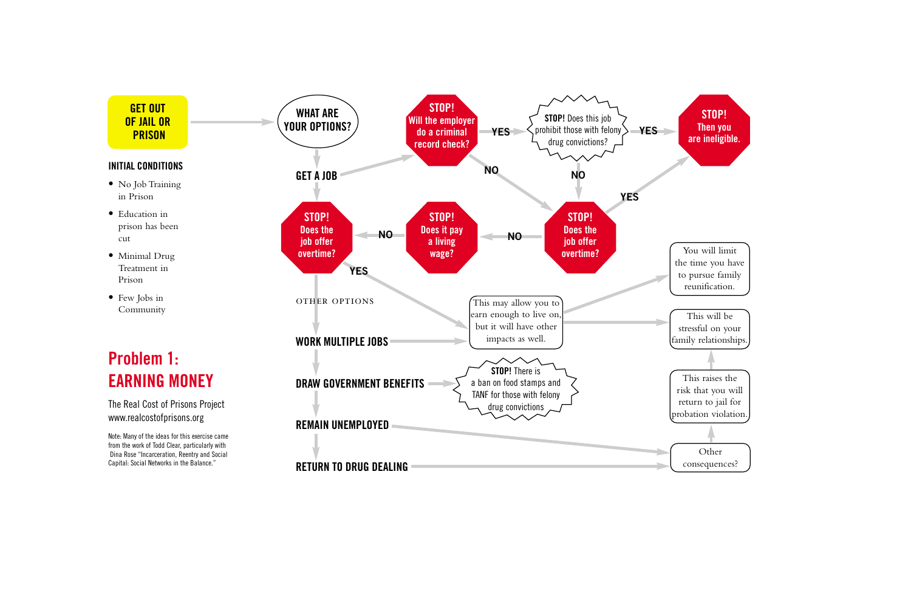

Other consequences?

## **Problem 1: EARNING MONEY**

The Real Cost of Prisons Project www.realcostofprisons.org



Note: Many of the ideas for this exercise came from the work of Todd Clear, particularly with Dina Rose "Incarceration, Reentry and Social Capital: Social Networks in the Balance."

## **INITIAL CONDITIONS**

- No Job Training in Prison
- Education in prison has been cut
- Minimal Drug Treatment in Prison
- Few Jobs in Community



This raises the risk that you will return to jail for probation violation.

This will be stressful on your family relationships.

You will limit the time you have to pursue family reunification.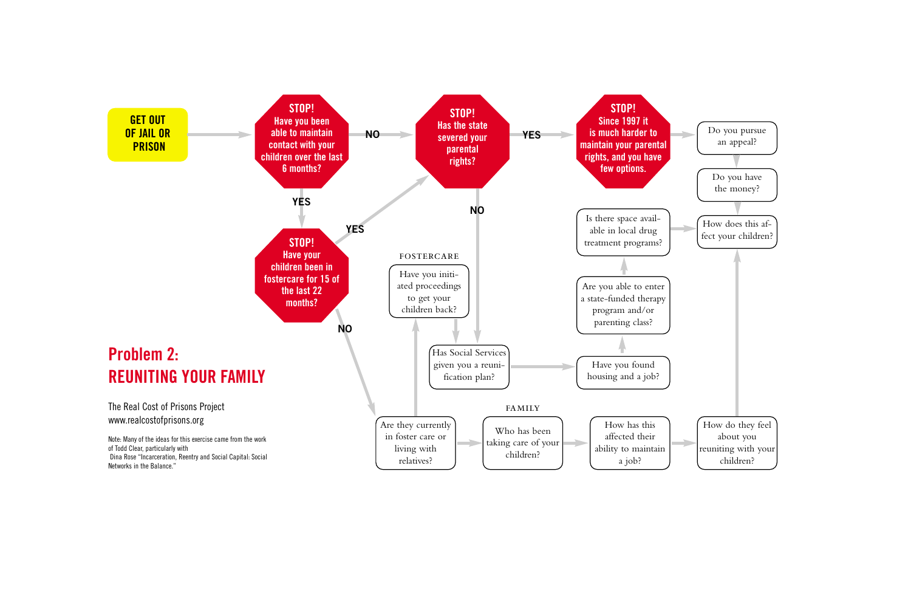